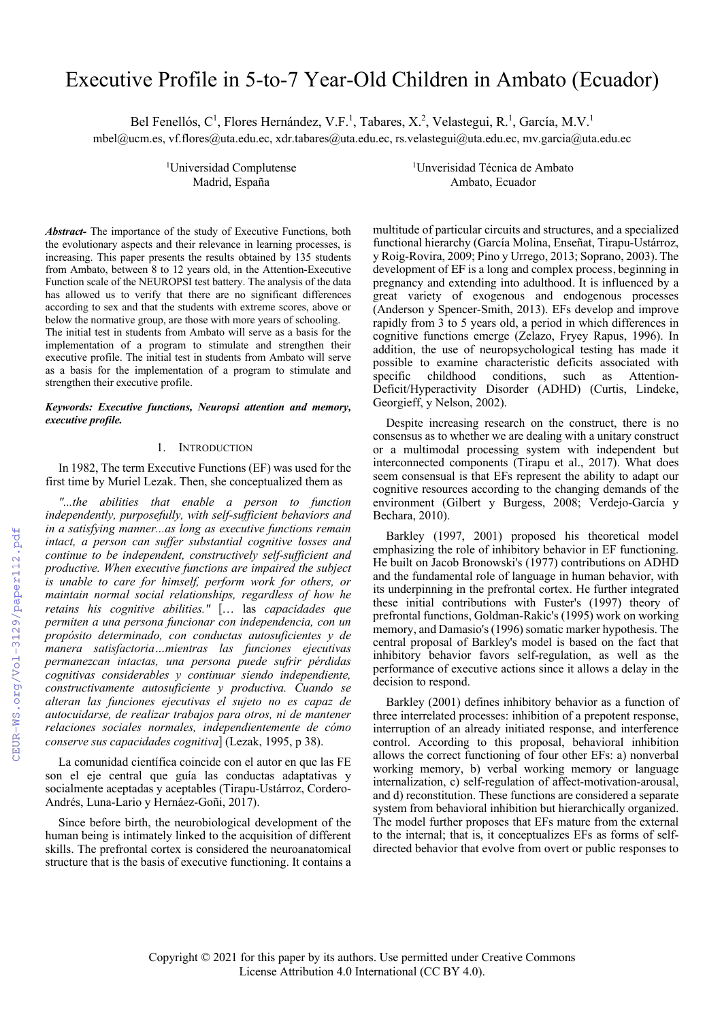# Executive Profile in 5-to-7 Year-Old Children in Ambato (Ecuador)

Bel Fenellós, C<sup>1</sup>, Flores Hernández, V.F.<sup>1</sup>, Tabares, X.<sup>2</sup>, Velastegui, R.<sup>1</sup>, García, M.V.<sup>1</sup>

mbel@ucm.es, vf.flores@uta.edu.ec, xdr.tabares@uta.edu.ec, rs.velastegui@uta.edu.ec, mv.garcia@uta.edu.ec

<sup>1</sup>Universidad Complutense <sup>1</sup>

*Abstract-* The importance of the study of Executive Functions, both the evolutionary aspects and their relevance in learning processes, is increasing. This paper presents the results obtained by 135 students from Ambato, between 8 to 12 years old, in the Attention-Executive Function scale of the NEUROPSI test battery. The analysis of the data has allowed us to verify that there are no significant differences according to sex and that the students with extreme scores, above or below the normative group, are those with more years of schooling.

The initial test in students from Ambato will serve as a basis for the implementation of a program to stimulate and strengthen their executive profile. The initial test in students from Ambato will serve as a basis for the implementation of a program to stimulate and strengthen their executive profile.

## *Keywords: Executive functions, Neuropsi attention and memory, executive profile.*

#### 1. INTRODUCTION

In 1982, The term Executive Functions (EF) was used for the first time by Muriel Lezak. Then, she conceptualized them as

*"...the abilities that enable a person to function independently, purposefully, with self-sufficient behaviors and in a satisfying manner...as long as executive functions remain intact, a person can suffer substantial cognitive losses and continue to be independent, constructively self-sufficient and productive. When executive functions are impaired the subject is unable to care for himself, perform work for others, or maintain normal social relationships, regardless of how he retains his cognitive abilities."* [… las *capacidades que permiten a una persona funcionar con independencia, con un propósito determinado, con conductas autosuficientes y de manera satisfactoria…mientras las funciones ejecutivas permanezcan intactas, una persona puede sufrir pérdidas cognitivas considerables y continuar siendo independiente, constructivamente autosuficiente y productiva. Cuando se alteran las funciones ejecutivas el sujeto no es capaz de autocuidarse, de realizar trabajos para otros, ni de mantener relaciones sociales normales, independientemente de cómo conserve sus capacidades cognitiva*] (Lezak, 1995, p 38).

La comunidad científica coincide con el autor en que las FE son el eje central que guía las conductas adaptativas y socialmente aceptadas y aceptables (Tirapu-Ustárroz, Cordero-Andrés, Luna-Lario y Hernáez-Goñi, 2017).

Since before birth, the neurobiological development of the human being is intimately linked to the acquisition of different skills. The prefrontal cortex is considered the neuroanatomical structure that is the basis of executive functioning. It contains a

Unverisidad Técnica de Ambato Madrid, España **Ambato, Ecuador** Ambato, Ecuador

> multitude of particular circuits and structures, and a specialized functional hierarchy (García Molina, Enseñat, Tirapu-Ustárroz, y Roig-Rovira, 2009; Pino y Urrego, 2013; Soprano, 2003). The development of EF is a long and complex process, beginning in pregnancy and extending into adulthood. It is influenced by a great variety of exogenous and endogenous processes (Anderson y Spencer-Smith, 2013). EFs develop and improve rapidly from 3 to 5 years old, a period in which differences in cognitive functions emerge (Zelazo, Fryey Rapus, 1996). In addition, the use of neuropsychological testing has made it possible to examine characteristic deficits associated with<br>specific childhood conditions, such as Attentionconditions, such as Deficit/Hyperactivity Disorder (ADHD) (Curtis, Lindeke, Georgieff, y Nelson, 2002).

> Despite increasing research on the construct, there is no consensus as to whether we are dealing with a unitary construct or a multimodal processing system with independent but interconnected components (Tirapu et al., 2017). What does seem consensual is that EFs represent the ability to adapt our cognitive resources according to the changing demands of the environment (Gilbert y Burgess, 2008; Verdejo-García y Bechara, 2010).

> Barkley (1997, 2001) proposed his theoretical model emphasizing the role of inhibitory behavior in EF functioning. He built on Jacob Bronowski's (1977) contributions on ADHD and the fundamental role of language in human behavior, with its underpinning in the prefrontal cortex. He further integrated these initial contributions with Fuster's (1997) theory of prefrontal functions, Goldman-Rakic's (1995) work on working memory, and Damasio's (1996) somatic marker hypothesis. The central proposal of Barkley's model is based on the fact that inhibitory behavior favors self-regulation, as well as the performance of executive actions since it allows a delay in the decision to respond.

> Barkley (2001) defines inhibitory behavior as a function of three interrelated processes: inhibition of a prepotent response, interruption of an already initiated response, and interference control. According to this proposal, behavioral inhibition allows the correct functioning of four other EFs: a) nonverbal working memory, b) verbal working memory or language internalization, c) self-regulation of affect-motivation-arousal, and d) reconstitution. These functions are considered a separate system from behavioral inhibition but hierarchically organized. The model further proposes that EFs mature from the external to the internal; that is, it conceptualizes EFs as forms of selfdirected behavior that evolve from overt or public responses to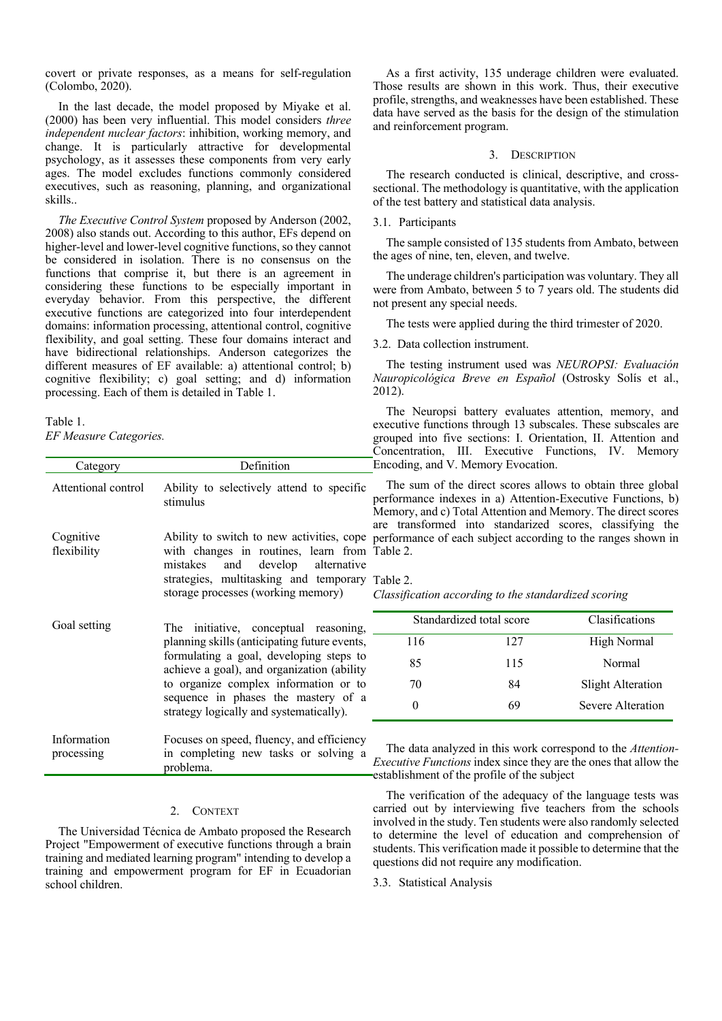covert or private responses, as a means for self-regulation (Colombo, 2020).

In the last decade, the model proposed by Miyake et al. (2000) has been very influential. This model considers *three independent nuclear factors*: inhibition, working memory, and change. It is particularly attractive for developmental psychology, as it assesses these components from very early ages. The model excludes functions commonly considered executives, such as reasoning, planning, and organizational skills..

*The Executive Control System* proposed by Anderson (2002, 2008) also stands out. According to this author, EFs depend on higher-level and lower-level cognitive functions, so they cannot be considered in isolation. There is no consensus on the functions that comprise it, but there is an agreement in considering these functions to be especially important in everyday behavior. From this perspective, the different executive functions are categorized into four interdependent domains: information processing, attentional control, cognitive flexibility, and goal setting. These four domains interact and have bidirectional relationships. Anderson categorizes the different measures of EF available: a) attentional control; b) cognitive flexibility; c) goal setting; and d) information processing. Each of them is detailed in Table 1.

Table 1.

*EF Measure Categories.*

| Category                  | Definition                                                                                                                                                                                                                                                                                                |
|---------------------------|-----------------------------------------------------------------------------------------------------------------------------------------------------------------------------------------------------------------------------------------------------------------------------------------------------------|
| Attentional control       | Ability to selectively attend to specific<br>stimulus                                                                                                                                                                                                                                                     |
| Cognitive<br>flexibility  | Ability to switch to new activities, cope<br>with changes in routines, learn from<br>mistakes and develop alternative<br>strategies, multitasking and temporary<br>storage processes (working memory)                                                                                                     |
| Goal setting              | The initiative, conceptual reasoning,<br>planning skills (anticipating future events,<br>formulating a goal, developing steps to<br>achieve a goal), and organization (ability<br>to organize complex information or to<br>sequence in phases the mastery of a<br>strategy logically and systematically). |
| Information<br>processing | Focuses on speed, fluency, and efficiency<br>in completing new tasks or solving a<br>problema.                                                                                                                                                                                                            |

## 2. CONTEXT

The Universidad Técnica de Ambato proposed the Research Project "Empowerment of executive functions through a brain training and mediated learning program" intending to develop a training and empowerment program for EF in Ecuadorian school children.

As a first activity, 135 underage children were evaluated. Those results are shown in this work. Thus, their executive profile, strengths, and weaknesses have been established. These data have served as the basis for the design of the stimulation and reinforcement program.

## 3. DESCRIPTION

The research conducted is clinical, descriptive, and crosssectional. The methodology is quantitative, with the application of the test battery and statistical data analysis.

## 3.1. Participants

The sample consisted of 135 students from Ambato, between the ages of nine, ten, eleven, and twelve.

The underage children's participation was voluntary. They all were from Ambato, between 5 to 7 years old. The students did not present any special needs.

The tests were applied during the third trimester of 2020.

#### 3.2. Data collection instrument.

The testing instrument used was *NEUROPSI: Evaluación Nauropicológica Breve en Español* (Ostrosky Solís et al., 2012).

The Neuropsi battery evaluates attention, memory, and executive functions through 13 subscales. These subscales are grouped into five sections: I. Orientation, II. Attention and Concentration, III. Executive Functions, IV. Memory Encoding, and V. Memory Evocation.

The sum of the direct scores allows to obtain three global performance indexes in a) Attention-Executive Functions, b) Memory, and c) Total Attention and Memory. The direct scores are transformed into standarized scores, classifying the performance of each subject according to the ranges shown in Table 2.

#### Table 2.

*Classification according to the standardized scoring*

|     | Standardized total score | Clasifications     |
|-----|--------------------------|--------------------|
| 116 | 127                      | <b>High Normal</b> |
| 85  | 115                      | Normal             |
| 70  | 84                       | Slight Alteration  |
|     | 69                       | Severe Alteration  |

The data analyzed in this work correspond to the *Attention-Executive Functions* index since they are the ones that allow the establishment of the profile of the subject

The verification of the adequacy of the language tests was carried out by interviewing five teachers from the schools involved in the study. Ten students were also randomly selected to determine the level of education and comprehension of students. This verification made it possible to determine that the questions did not require any modification.

# 3.3. Statistical Analysis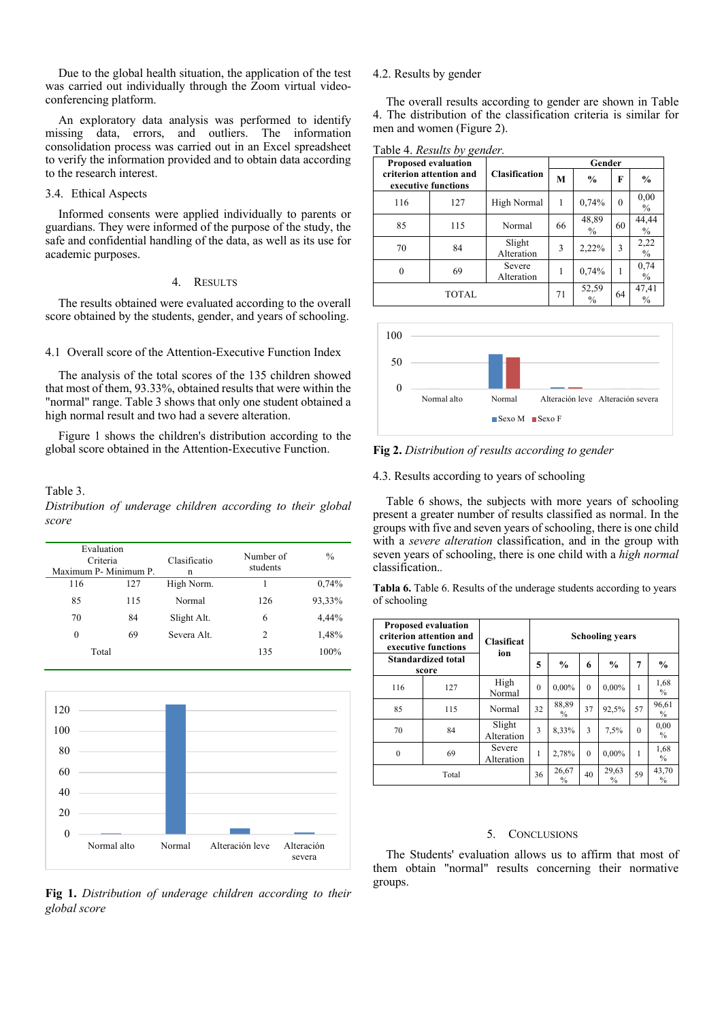Due to the global health situation, the application of the test was carried out individually through the Zoom virtual videoconferencing platform.

An exploratory data analysis was performed to identify missing data, errors, and outliers. The information consolidation process was carried out in an Excel spreadsheet to verify the information provided and to obtain data according to the research interest.

## 3.4. Ethical Aspects

Informed consents were applied individually to parents or guardians. They were informed of the purpose of the study, the safe and confidential handling of the data, as well as its use for academic purposes.

#### 4. RESULTS

The results obtained were evaluated according to the overall score obtained by the students, gender, and years of schooling.

#### 4.1 Overall score of the Attention-Executive Function Index

The analysis of the total scores of the 135 children showed that most of them, 93.33%, obtained results that were within the "normal" range. Table 3 shows that only one student obtained a high normal result and two had a severe alteration.

Figure 1 shows the children's distribution according to the global score obtained in the Attention-Executive Function.

#### Table 3.

*Distribution of underage children according to their global score*

| Evaluation<br>Criteria |     | Clasificatio | Number of<br>students | $\frac{0}{0}$ |  |  |
|------------------------|-----|--------------|-----------------------|---------------|--|--|
| Maximum P- Minimum P.  |     | n            |                       |               |  |  |
| 116                    | 127 | High Norm.   | 1                     | 0,74%         |  |  |
| 85                     | 115 | Normal       | 126                   | 93,33%        |  |  |
| 70                     | 84  | Slight Alt.  | 6                     | 4,44%         |  |  |
| 0                      | 69  | Severa Alt.  | 2                     | 1,48%         |  |  |
| Total                  |     |              | 135                   | 100%          |  |  |



**Fig 1.** *Distribution of underage children according to their global score*

### 4.2. Results by gender

The overall results according to gender are shown in Table 4. The distribution of the classification criteria is similar for men and women (Figure 2).

|  |  |  | Table 4. Results by gender. |  |  |
|--|--|--|-----------------------------|--|--|
|--|--|--|-----------------------------|--|--|

|                                                | Proposed evaluation |                      | Gender |                        |          |                        |  |
|------------------------------------------------|---------------------|----------------------|--------|------------------------|----------|------------------------|--|
| criterion attention and<br>executive functions |                     | Clasification        | M      | $\frac{0}{0}$          | F        | $\frac{0}{0}$          |  |
| 116                                            | 127                 | High Normal          | 1      | 0,74%                  | $\theta$ | 0,00<br>$\frac{0}{0}$  |  |
| 85                                             | 115                 | Normal               | 66     | 48,89<br>$\frac{0}{0}$ | 60       | 44,44<br>$\frac{0}{0}$ |  |
| 70                                             | 84                  | Slight<br>Alteration | 3      | 2,22%                  | 3        | 2,22<br>$\frac{0}{0}$  |  |
| $\theta$                                       | 69                  | Severe<br>Alteration |        | 0,74%                  |          | 0,74<br>$\%$           |  |
|                                                | <b>TOTAL</b>        |                      | 71     | 52,59<br>$\frac{0}{0}$ | 64       | 47,41<br>$\frac{0}{0}$ |  |



**Fig 2.** *Distribution of results according to gender*

4.3. Results according to years of schooling

Table 6 shows, the subjects with more years of schooling present a greater number of results classified as normal. In the groups with five and seven years of schooling, there is one child with a *severe alteration* classification, and in the group with seven years of schooling, there is one child with a *high normal* classification.*.*

**Tabla 6.** Table 6. Results of the underage students according to years of schooling

| <b>Proposed evaluation</b><br>criterion attention and<br>executive functions<br>ion<br><b>Standardized total</b><br>score |       | <b>Clasificat</b>    | <b>Schooling years</b> |                        |          |                        |          |                        |
|---------------------------------------------------------------------------------------------------------------------------|-------|----------------------|------------------------|------------------------|----------|------------------------|----------|------------------------|
|                                                                                                                           |       |                      | 5                      | $\frac{0}{0}$          | 6        | $\frac{0}{0}$          | 7        | $\frac{0}{0}$          |
| 116                                                                                                                       | 127   | High<br>Normal       | $\theta$               | $0.00\%$               | $\Omega$ | $0.00\%$               | 1        | 1,68<br>$\frac{0}{0}$  |
| 85                                                                                                                        | 115   | Normal               | 32                     | 88,89<br>$\frac{0}{0}$ | 37       | 92,5%                  | 57       | 96,61<br>$\frac{0}{0}$ |
| 70                                                                                                                        | 84    | Slight<br>Alteration | 3                      | 8.33%                  | 3        | 7.5%                   | $\theta$ | 0,00<br>$\frac{0}{0}$  |
| $\mathbf{0}$                                                                                                              | 69    | Severe<br>Alteration | 1                      | 2.78%                  | $\Omega$ | $0.00\%$               | 1        | 1,68<br>$\frac{0}{0}$  |
|                                                                                                                           | Total |                      | 36                     | 26,67<br>$\frac{0}{0}$ | 40       | 29,63<br>$\frac{0}{0}$ | 59       | 43,70<br>$\frac{0}{0}$ |

#### 5. CONCLUSIONS

The Students' evaluation allows us to affirm that most of them obtain "normal" results concerning their normative groups.